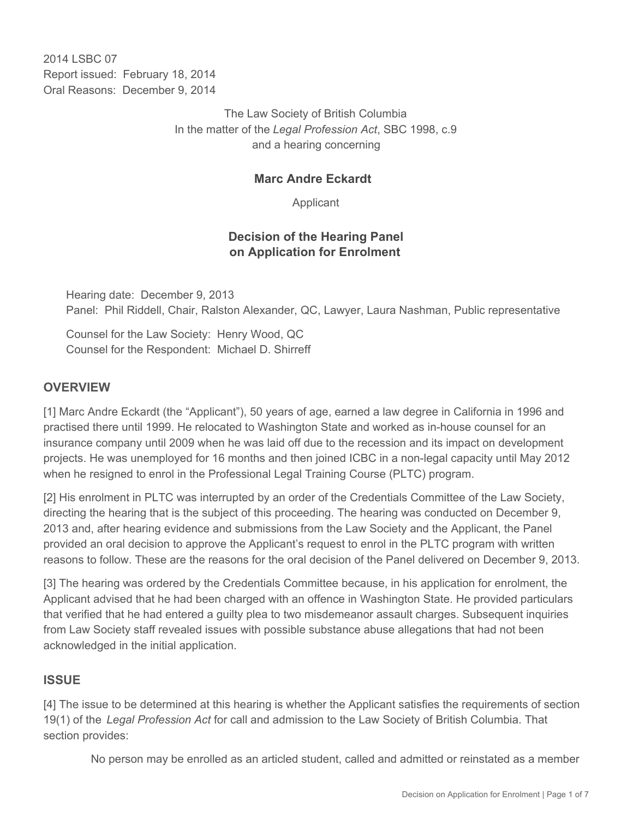2014 I SBC 07 Report issued: February 18, 2014 Oral Reasons: December 9, 2014

> The Law Society of British Columbia In the matter of the *Legal Profession Act*, SBC 1998, c.9 and a hearing concerning

#### **Marc Andre Eckardt**

Applicant

## **Decision of the Hearing Panel on Application for Enrolment**

Hearing date: December 9, 2013 Panel: Phil Riddell, Chair, Ralston Alexander, QC, Lawyer, Laura Nashman, Public representative

Counsel for the Law Society: Henry Wood, QC Counsel for the Respondent: Michael D. Shirreff

### **OVERVIEW**

[1] Marc Andre Eckardt (the "Applicant"), 50 years of age, earned a law degree in California in 1996 and practised there until 1999. He relocated to Washington State and worked as in-house counsel for an insurance company until 2009 when he was laid off due to the recession and its impact on development projects. He was unemployed for 16 months and then joined ICBC in a non-legal capacity until May 2012 when he resigned to enrol in the Professional Legal Training Course (PLTC) program.

[2] His enrolment in PLTC was interrupted by an order of the Credentials Committee of the Law Society, directing the hearing that is the subject of this proceeding. The hearing was conducted on December 9, 2013 and, after hearing evidence and submissions from the Law Society and the Applicant, the Panel provided an oral decision to approve the Applicant's request to enrol in the PLTC program with written reasons to follow. These are the reasons for the oral decision of the Panel delivered on December 9, 2013.

[3] The hearing was ordered by the Credentials Committee because, in his application for enrolment, the Applicant advised that he had been charged with an offence in Washington State. He provided particulars that verified that he had entered a guilty plea to two misdemeanor assault charges. Subsequent inquiries from Law Society staff revealed issues with possible substance abuse allegations that had not been acknowledged in the initial application.

#### **ISSUE**

[4] The issue to be determined at this hearing is whether the Applicant satisfies the requirements of section 19(1) of the *Legal Profession Act* for call and admission to the Law Society of British Columbia. That section provides:

No person may be enrolled as an articled student, called and admitted or reinstated as a member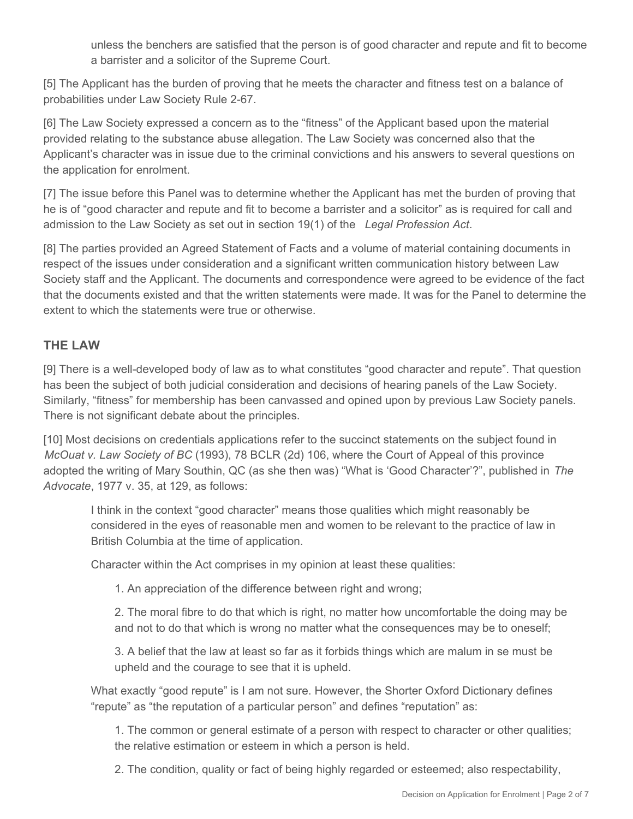unless the benchers are satisfied that the person is of good character and repute and fit to become a barrister and a solicitor of the Supreme Court.

[5] The Applicant has the burden of proving that he meets the character and fitness test on a balance of probabilities under Law Society Rule 2-67.

[6] The Law Society expressed a concern as to the "fitness" of the Applicant based upon the material provided relating to the substance abuse allegation. The Law Society was concerned also that the Applicant's character was in issue due to the criminal convictions and his answers to several questions on the application for enrolment.

[7] The issue before this Panel was to determine whether the Applicant has met the burden of proving that he is of "good character and repute and fit to become a barrister and a solicitor" as is required for call and admission to the Law Society as set out in section 19(1) of the *Legal Profession Act*.

[8] The parties provided an Agreed Statement of Facts and a volume of material containing documents in respect of the issues under consideration and a significant written communication history between Law Society staff and the Applicant. The documents and correspondence were agreed to be evidence of the fact that the documents existed and that the written statements were made. It was for the Panel to determine the extent to which the statements were true or otherwise.

### **THE LAW**

[9] There is a well-developed body of law as to what constitutes "good character and repute". That question has been the subject of both judicial consideration and decisions of hearing panels of the Law Society. Similarly, "fitness" for membership has been canvassed and opined upon by previous Law Society panels. There is not significant debate about the principles.

[10] Most decisions on credentials applications refer to the succinct statements on the subject found in *McOuat v. Law Society of BC* (1993), 78 BCLR (2d) 106, where the Court of Appeal of this province adopted the writing of Mary Southin, QC (as she then was) "What is 'Good Character'?", published in *The Advocate*, 1977 v. 35, at 129, as follows:

I think in the context "good character" means those qualities which might reasonably be considered in the eyes of reasonable men and women to be relevant to the practice of law in British Columbia at the time of application.

Character within the Act comprises in my opinion at least these qualities:

1. An appreciation of the difference between right and wrong;

2. The moral fibre to do that which is right, no matter how uncomfortable the doing may be and not to do that which is wrong no matter what the consequences may be to oneself;

3. A belief that the law at least so far as it forbids things which are malum in se must be upheld and the courage to see that it is upheld.

What exactly "good repute" is I am not sure. However, the Shorter Oxford Dictionary defines "repute" as "the reputation of a particular person" and defines "reputation" as:

1. The common or general estimate of a person with respect to character or other qualities; the relative estimation or esteem in which a person is held.

2. The condition, quality or fact of being highly regarded or esteemed; also respectability,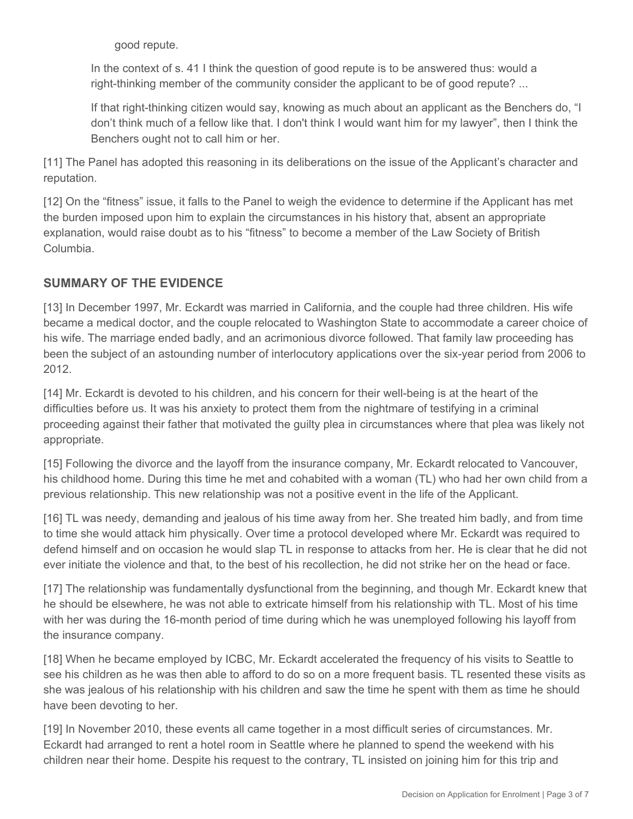good repute.

In the context of s. 41 I think the question of good repute is to be answered thus: would a right-thinking member of the community consider the applicant to be of good repute? ...

If that right-thinking citizen would say, knowing as much about an applicant as the Benchers do, "I don't think much of a fellow like that. I don't think I would want him for my lawyer", then I think the Benchers ought not to call him or her.

[11] The Panel has adopted this reasoning in its deliberations on the issue of the Applicant's character and reputation.

[12] On the "fitness" issue, it falls to the Panel to weigh the evidence to determine if the Applicant has met the burden imposed upon him to explain the circumstances in his history that, absent an appropriate explanation, would raise doubt as to his "fitness" to become a member of the Law Society of British Columbia.

# **SUMMARY OF THE EVIDENCE**

[13] In December 1997, Mr. Eckardt was married in California, and the couple had three children. His wife became a medical doctor, and the couple relocated to Washington State to accommodate a career choice of his wife. The marriage ended badly, and an acrimonious divorce followed. That family law proceeding has been the subject of an astounding number of interlocutory applications over the six-year period from 2006 to 2012.

[14] Mr. Eckardt is devoted to his children, and his concern for their well-being is at the heart of the difficulties before us. It was his anxiety to protect them from the nightmare of testifying in a criminal proceeding against their father that motivated the guilty plea in circumstances where that plea was likely not appropriate.

[15] Following the divorce and the layoff from the insurance company, Mr. Eckardt relocated to Vancouver, his childhood home. During this time he met and cohabited with a woman (TL) who had her own child from a previous relationship. This new relationship was not a positive event in the life of the Applicant.

[16] TL was needy, demanding and jealous of his time away from her. She treated him badly, and from time to time she would attack him physically. Over time a protocol developed where Mr. Eckardt was required to defend himself and on occasion he would slap TL in response to attacks from her. He is clear that he did not ever initiate the violence and that, to the best of his recollection, he did not strike her on the head or face.

[17] The relationship was fundamentally dysfunctional from the beginning, and though Mr. Eckardt knew that he should be elsewhere, he was not able to extricate himself from his relationship with TL. Most of his time with her was during the 16-month period of time during which he was unemployed following his layoff from the insurance company.

[18] When he became employed by ICBC, Mr. Eckardt accelerated the frequency of his visits to Seattle to see his children as he was then able to afford to do so on a more frequent basis. TL resented these visits as she was jealous of his relationship with his children and saw the time he spent with them as time he should have been devoting to her.

[19] In November 2010, these events all came together in a most difficult series of circumstances. Mr. Eckardt had arranged to rent a hotel room in Seattle where he planned to spend the weekend with his children near their home. Despite his request to the contrary, TL insisted on joining him for this trip and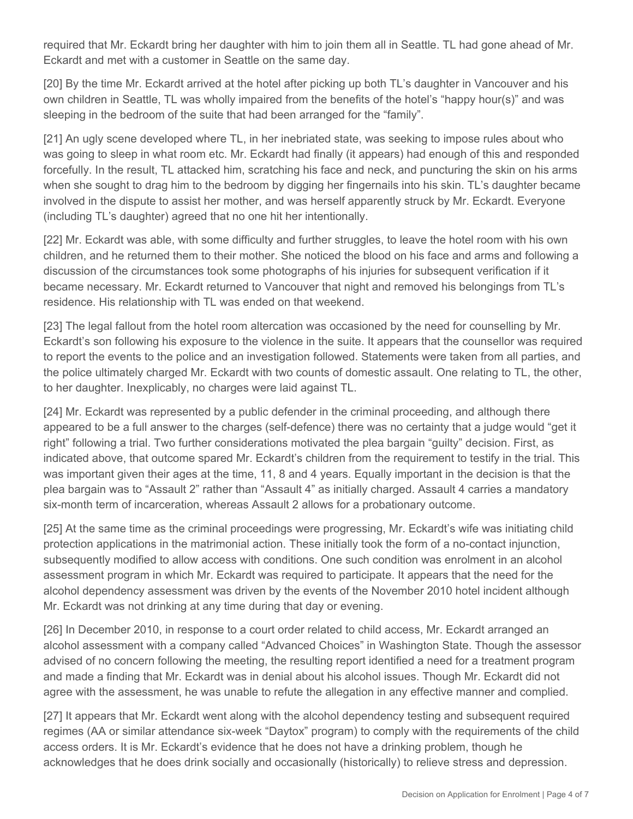required that Mr. Eckardt bring her daughter with him to join them all in Seattle. TL had gone ahead of Mr. Eckardt and met with a customer in Seattle on the same day.

[20] By the time Mr. Eckardt arrived at the hotel after picking up both TL's daughter in Vancouver and his own children in Seattle, TL was wholly impaired from the benefits of the hotel's "happy hour(s)" and was sleeping in the bedroom of the suite that had been arranged for the "family".

[21] An ugly scene developed where TL, in her inebriated state, was seeking to impose rules about who was going to sleep in what room etc. Mr. Eckardt had finally (it appears) had enough of this and responded forcefully. In the result, TL attacked him, scratching his face and neck, and puncturing the skin on his arms when she sought to drag him to the bedroom by digging her fingernails into his skin. TL's daughter became involved in the dispute to assist her mother, and was herself apparently struck by Mr. Eckardt. Everyone (including TL's daughter) agreed that no one hit her intentionally.

[22] Mr. Eckardt was able, with some difficulty and further struggles, to leave the hotel room with his own children, and he returned them to their mother. She noticed the blood on his face and arms and following a discussion of the circumstances took some photographs of his injuries for subsequent verification if it became necessary. Mr. Eckardt returned to Vancouver that night and removed his belongings from TL's residence. His relationship with TL was ended on that weekend.

[23] The legal fallout from the hotel room altercation was occasioned by the need for counselling by Mr. Eckardt's son following his exposure to the violence in the suite. It appears that the counsellor was required to report the events to the police and an investigation followed. Statements were taken from all parties, and the police ultimately charged Mr. Eckardt with two counts of domestic assault. One relating to TL, the other, to her daughter. Inexplicably, no charges were laid against TL.

[24] Mr. Eckardt was represented by a public defender in the criminal proceeding, and although there appeared to be a full answer to the charges (self-defence) there was no certainty that a judge would "get it right" following a trial. Two further considerations motivated the plea bargain "guilty" decision. First, as indicated above, that outcome spared Mr. Eckardt's children from the requirement to testify in the trial. This was important given their ages at the time, 11, 8 and 4 years. Equally important in the decision is that the plea bargain was to "Assault 2" rather than "Assault 4" as initially charged. Assault 4 carries a mandatory six-month term of incarceration, whereas Assault 2 allows for a probationary outcome.

[25] At the same time as the criminal proceedings were progressing, Mr. Eckardt's wife was initiating child protection applications in the matrimonial action. These initially took the form of a no-contact injunction, subsequently modified to allow access with conditions. One such condition was enrolment in an alcohol assessment program in which Mr. Eckardt was required to participate. It appears that the need for the alcohol dependency assessment was driven by the events of the November 2010 hotel incident although Mr. Eckardt was not drinking at any time during that day or evening.

[26] In December 2010, in response to a court order related to child access, Mr. Eckardt arranged an alcohol assessment with a company called "Advanced Choices" in Washington State. Though the assessor advised of no concern following the meeting, the resulting report identified a need for a treatment program and made a finding that Mr. Eckardt was in denial about his alcohol issues. Though Mr. Eckardt did not agree with the assessment, he was unable to refute the allegation in any effective manner and complied.

[27] It appears that Mr. Eckardt went along with the alcohol dependency testing and subsequent required regimes (AA or similar attendance six-week "Daytox" program) to comply with the requirements of the child access orders. It is Mr. Eckardt's evidence that he does not have a drinking problem, though he acknowledges that he does drink socially and occasionally (historically) to relieve stress and depression.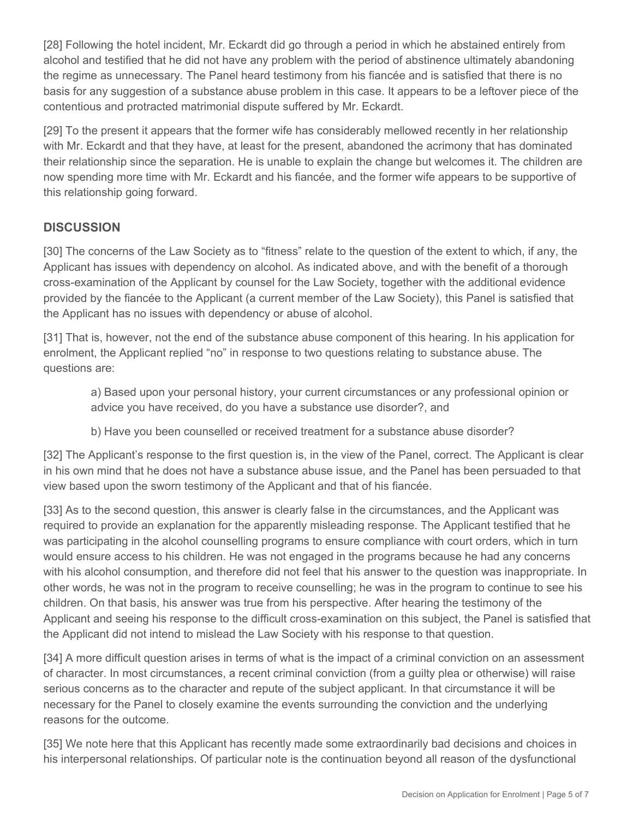[28] Following the hotel incident, Mr. Eckardt did go through a period in which he abstained entirely from alcohol and testified that he did not have any problem with the period of abstinence ultimately abandoning the regime as unnecessary. The Panel heard testimony from his fiancée and is satisfied that there is no basis for any suggestion of a substance abuse problem in this case. It appears to be a leftover piece of the contentious and protracted matrimonial dispute suffered by Mr. Eckardt.

[29] To the present it appears that the former wife has considerably mellowed recently in her relationship with Mr. Eckardt and that they have, at least for the present, abandoned the acrimony that has dominated their relationship since the separation. He is unable to explain the change but welcomes it. The children are now spending more time with Mr. Eckardt and his fiancée, and the former wife appears to be supportive of this relationship going forward.

# **DISCUSSION**

[30] The concerns of the Law Society as to "fitness" relate to the question of the extent to which, if any, the Applicant has issues with dependency on alcohol. As indicated above, and with the benefit of a thorough cross-examination of the Applicant by counsel for the Law Society, together with the additional evidence provided by the fiancée to the Applicant (a current member of the Law Society), this Panel is satisfied that the Applicant has no issues with dependency or abuse of alcohol.

[31] That is, however, not the end of the substance abuse component of this hearing. In his application for enrolment, the Applicant replied "no" in response to two questions relating to substance abuse. The questions are:

a) Based upon your personal history, your current circumstances or any professional opinion or advice you have received, do you have a substance use disorder?, and

b) Have you been counselled or received treatment for a substance abuse disorder?

[32] The Applicant's response to the first question is, in the view of the Panel, correct. The Applicant is clear in his own mind that he does not have a substance abuse issue, and the Panel has been persuaded to that view based upon the sworn testimony of the Applicant and that of his fiancée.

[33] As to the second question, this answer is clearly false in the circumstances, and the Applicant was required to provide an explanation for the apparently misleading response. The Applicant testified that he was participating in the alcohol counselling programs to ensure compliance with court orders, which in turn would ensure access to his children. He was not engaged in the programs because he had any concerns with his alcohol consumption, and therefore did not feel that his answer to the question was inappropriate. In other words, he was not in the program to receive counselling; he was in the program to continue to see his children. On that basis, his answer was true from his perspective. After hearing the testimony of the Applicant and seeing his response to the difficult cross-examination on this subject, the Panel is satisfied that the Applicant did not intend to mislead the Law Society with his response to that question.

[34] A more difficult question arises in terms of what is the impact of a criminal conviction on an assessment of character. In most circumstances, a recent criminal conviction (from a guilty plea or otherwise) will raise serious concerns as to the character and repute of the subject applicant. In that circumstance it will be necessary for the Panel to closely examine the events surrounding the conviction and the underlying reasons for the outcome.

[35] We note here that this Applicant has recently made some extraordinarily bad decisions and choices in his interpersonal relationships. Of particular note is the continuation beyond all reason of the dysfunctional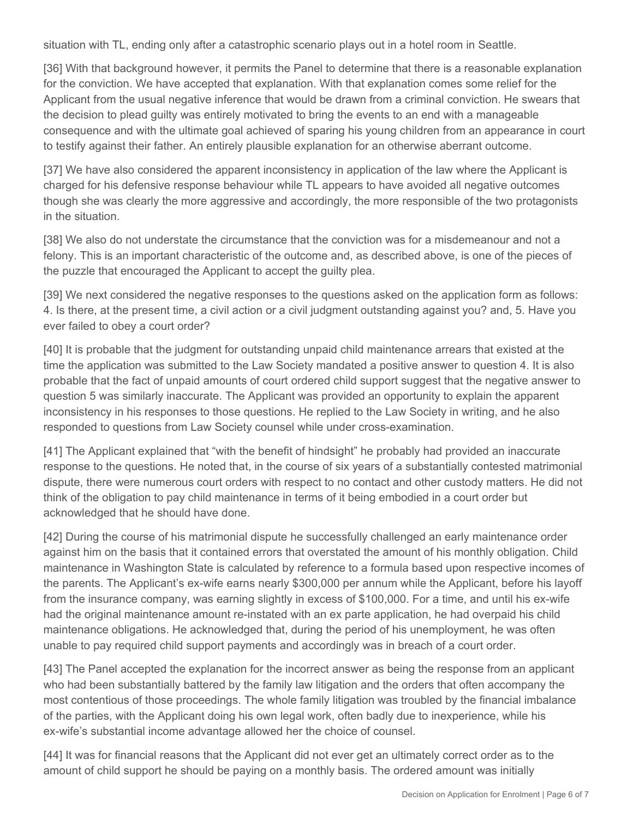situation with TL, ending only after a catastrophic scenario plays out in a hotel room in Seattle.

[36] With that background however, it permits the Panel to determine that there is a reasonable explanation for the conviction. We have accepted that explanation. With that explanation comes some relief for the Applicant from the usual negative inference that would be drawn from a criminal conviction. He swears that the decision to plead guilty was entirely motivated to bring the events to an end with a manageable consequence and with the ultimate goal achieved of sparing his young children from an appearance in court to testify against their father. An entirely plausible explanation for an otherwise aberrant outcome.

[37] We have also considered the apparent inconsistency in application of the law where the Applicant is charged for his defensive response behaviour while TL appears to have avoided all negative outcomes though she was clearly the more aggressive and accordingly, the more responsible of the two protagonists in the situation.

[38] We also do not understate the circumstance that the conviction was for a misdemeanour and not a felony. This is an important characteristic of the outcome and, as described above, is one of the pieces of the puzzle that encouraged the Applicant to accept the guilty plea.

[39] We next considered the negative responses to the questions asked on the application form as follows: 4. Is there, at the present time, a civil action or a civil judgment outstanding against you? and, 5. Have you ever failed to obey a court order?

[40] It is probable that the judgment for outstanding unpaid child maintenance arrears that existed at the time the application was submitted to the Law Society mandated a positive answer to question 4. It is also probable that the fact of unpaid amounts of court ordered child support suggest that the negative answer to question 5 was similarly inaccurate. The Applicant was provided an opportunity to explain the apparent inconsistency in his responses to those questions. He replied to the Law Society in writing, and he also responded to questions from Law Society counsel while under cross-examination.

[41] The Applicant explained that "with the benefit of hindsight" he probably had provided an inaccurate response to the questions. He noted that, in the course of six years of a substantially contested matrimonial dispute, there were numerous court orders with respect to no contact and other custody matters. He did not think of the obligation to pay child maintenance in terms of it being embodied in a court order but acknowledged that he should have done.

[42] During the course of his matrimonial dispute he successfully challenged an early maintenance order against him on the basis that it contained errors that overstated the amount of his monthly obligation. Child maintenance in Washington State is calculated by reference to a formula based upon respective incomes of the parents. The Applicant's ex-wife earns nearly \$300,000 per annum while the Applicant, before his layoff from the insurance company, was earning slightly in excess of \$100,000. For a time, and until his ex-wife had the original maintenance amount re-instated with an ex parte application, he had overpaid his child maintenance obligations. He acknowledged that, during the period of his unemployment, he was often unable to pay required child support payments and accordingly was in breach of a court order.

[43] The Panel accepted the explanation for the incorrect answer as being the response from an applicant who had been substantially battered by the family law litigation and the orders that often accompany the most contentious of those proceedings. The whole family litigation was troubled by the financial imbalance of the parties, with the Applicant doing his own legal work, often badly due to inexperience, while his ex-wife's substantial income advantage allowed her the choice of counsel.

[44] It was for financial reasons that the Applicant did not ever get an ultimately correct order as to the amount of child support he should be paying on a monthly basis. The ordered amount was initially